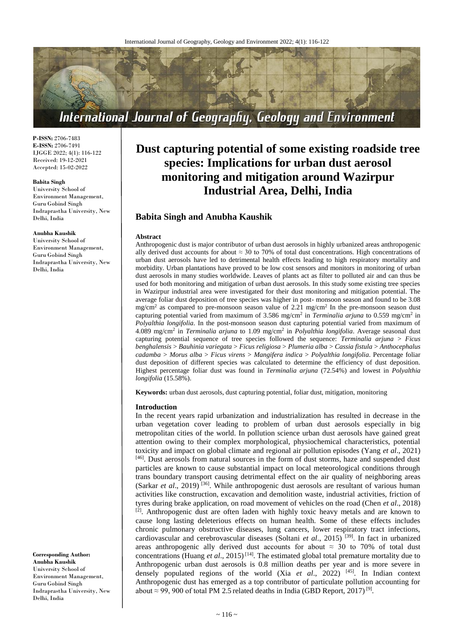

**P-ISSN:** 2706-7483 **E-ISSN:** 2706-7491 IJGGE 2022; 4(1): 116-122 Received: 19-12-2021 Accepted: 15-02-2022

#### **Babita Singh**

University School of Environment Management, Guru Gobind Singh Indraprastha University, New Delhi, India

#### **Anubha Kaushik**

University School of Environment Management, Guru Gobind Singh Indraprastha University, New Delhi, India

**Corresponding Author: Anubha Kaushik** University School of Environment Management, Guru Gobind Singh Indraprastha University, New Delhi, India

# **Dust capturing potential of some existing roadside tree species: Implications for urban dust aerosol monitoring and mitigation around Wazirpur Industrial Area, Delhi, India**

# **Babita Singh and Anubha Kaushik**

#### **Abstract**

Anthropogenic dust is major contributor of urban dust aerosols in highly urbanized areas anthropogenic ally derived dust accounts for about  $\approx 30$  to 70% of total dust concentrations. High concentrations of urban dust aerosols have led to detrimental health effects leading to high respiratory mortality and morbidity. Urban plantations have proved to be low cost sensors and monitors in monitoring of urban dust aerosols in many studies worldwide. Leaves of plants act as filter to polluted air and can thus be used for both monitoring and mitigation of urban dust aerosols. In this study some existing tree species in Wazirpur industrial area were investigated for their dust monitoring and mitigation potential. The average foliar dust deposition of tree species was higher in post- monsoon season and found to be 3.08  $mg/cm<sup>2</sup>$  as compared to pre-monsoon season value of 2.21 mg/cm<sup>2</sup> In the pre-monsoon season dust capturing potential varied from maximum of 3.586 mg/cm<sup>2</sup> in *Terminalia arjuna* to 0.559 mg/cm<sup>2</sup> in *Polyalthia longifolia*. In the post-monsoon season dust capturing potential varied from maximum of 4.089 mg/cm<sup>2</sup> in *Terminalia arjuna* to 1.09 mg/cm<sup>2</sup> in *Polyalthia longifolia*. Average seasonal dust capturing potential sequence of tree species followed the sequence: *Terminalia arjuna* > *Ficus benghalensis* > *Bauhinia variegata* > *Ficus religiosa* > *Plumeria alba* > *Cassia fistula* > *Anthocephalus cadamba* > *Morus alba* > *Ficus virens* > *Mangifera indica* > *Polyalthia longifolia*. Percentage foliar dust deposition of different species was calculated to determine the efficiency of dust deposition. Highest percentage foliar dust was found in *Terminalia arjuna* (72.54%) and lowest in *Polyalthia longifolia* (15.58%).

**Keywords:** urban dust aerosols, dust capturing potential, foliar dust, mitigation, monitoring

#### **Introduction**

In the recent years rapid urbanization and industrialization has resulted in decrease in the urban vegetation cover leading to problem of urban dust aerosols especially in big metropolitan cities of the world. In pollution science urban dust aerosols have gained great attention owing to their complex morphological, physiochemical characteristics, potential toxicity and impact on global climate and regional air pollution episodes (Yang *et al*., 2021) [46]. Dust aerosols from natural sources in the form of dust storms, haze and suspended dust particles are known to cause substantial impact on local meteorological conditions through trans boundary transport causing detrimental effect on the air quality of neighboring areas (Sarkar *et al.*, 2019)<sup>[36]</sup>. While anthropogenic dust aerosols are resultant of various human activities like construction, excavation and demolition waste, industrial activities, friction of tyres during brake application, on road movement of vehicles on the road (Chen *et al*., 2018)  $[2]$ . Anthropogenic dust are often laden with highly toxic heavy metals and are known to cause long lasting deleterious effects on human health. Some of these effects includes chronic pulmonary obstructive diseases, lung cancers, lower respiratory tract infections, cardiovascular and cerebrovascular diseases (Soltani *et al*., 2015) [39] . In fact in urbanized areas anthropogenic ally derived dust accounts for about  $\approx$  30 to 70% of total dust concentrations (Huang *et al*., 2015) [14] . The estimated global total premature mortality due to Anthropogenic urban dust aerosols is 0.8 million deaths per year and is more severe in densely populated regions of the world (Xia *et al*., 2022) [45] . In Indian context Anthropogenic dust has emerged as a top contributor of particulate pollution accounting for about ≈ 99, 900 of total PM 2.5 related deaths in India (GBD Report, 2017)<sup>[9]</sup>.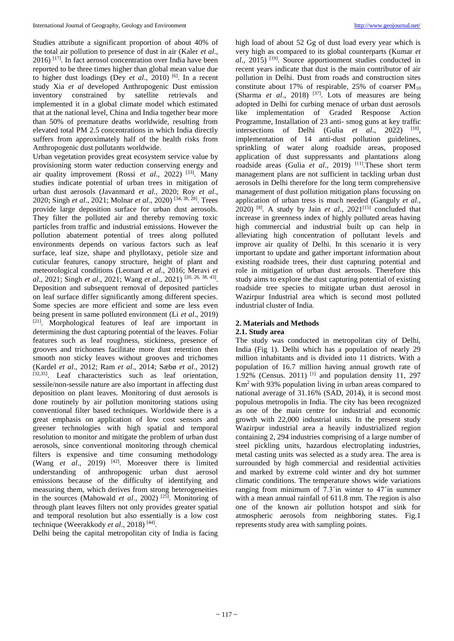Studies attribute a significant proportion of about 40% of the total air pollution to presence of dust in air (Kaler *et al*., 2016) [17] . In fact aerosol concentration over India have been reported to be three times higher than global mean value due to higher dust loadings (Dey *et al*., 2010) [6] . In a recent study Xia *et al* developed Anthropogenic Dust emission inventory constrained by satellite retrievals and implemented it in a global climate model which estimated that at the national level, China and India together bear more than 50% of premature deaths worldwide, resulting from elevated total PM 2.5 concentrations in which India directly suffers from approximately half of the health risks from Anthropogenic dust pollutants worldwide.

Urban vegetation provides great ecosystem service value by provisioning storm water reduction conserving energy and air quality improvement (Rossi *et al*., 2022) [33]. Many studies indicate potential of urban trees in mitigation of urban dust aerosols (Javanmard *et al*., 2020; Roy *et al*., 2020; Singh *et al*., 2021; Molnar *et al*., 2020) [34, 38, 28] . Trees provide large deposition surface for urban dust aerosols. They filter the polluted air and thereby removing toxic particles from traffic and industrial emissions. However the pollution abatement potential of trees along polluted environments depends on various factors such as leaf surface, leaf size, shape and phyllotaxy, petiole size and cuticular features, canopy structure, height of plant and meteorological conditions (Leonard *et al*., 2016; Meravi *et al*., 2021; Singh *et al*., 2021; Wang *et al*., 2021) [20, 26, 38, 43] . Deposition and subsequent removal of deposited particles on leaf surface differ significantly among different species. Some species are more efficient and some are less even being present in same polluted environment (Li *et al*., 2019) [21]. Morphological features of leaf are important in determining the dust capturing potential of the leaves. Foliar features such as leaf roughness, stickiness, presence of grooves and trichomes facilitate more dust retention then smooth non sticky leaves without grooves and trichomes (Kardel *et al*., 2012; Ram *et al*., 2014; Sæbø *et al*., 2012) [32,35]. Leaf characteristics such as leaf orientation, sessile/non-sessile nature are also important in affecting dust deposition on plant leaves. Monitoring of dust aerosols is done routinely by air pollution monitoring stations using conventional filter based techniques. Worldwide there is a great emphasis on application of low cost sensors and greener technologies with high spatial and temporal resolution to monitor and mitigate the problem of urban dust aerosols, since conventional monitoring through chemical filters is expensive and time consuming methodology (Wang *et al*., 2019) [42] . Moreover there is limited understanding of anthropogenic urban dust aerosol emissions because of the difficulty of identifying and measuring them, which derives from strong heterogeneities in the sources (Mahowald *et al*., 2002) [25]. Monitoring of through plant leaves filters not only provides greater spatial and temporal resolution but also essentially is a low cost technique (Weerakkody *et al*., 2018) [44] .

Delhi being the capital metropolitan city of India is facing

high load of about 52 Gg of dust load every year which is very high as compared to its global counterparts (Kumar *et al*., 2015) [19]. Source apportionment studies conducted in recent years indicate that dust is the main contributor of air pollution in Delhi. Dust from roads and construction sites constitute about 17% of respirable, 25% of coarser  $PM_{10}$ (Sharma *et al.*, 2018) <sup>[37]</sup>. Lots of measures are being adopted in Delhi for curbing menace of urban dust aerosols like implementation of Graded Response Action Programme, Installation of 23 anti- smog guns at key traffic intersections of Delhi (Gulia  $et \ al., \ 2022)$ <sup>[10]</sup>, implementation of 14 anti-dust pollution guidelines, sprinkling of water along roadside areas, proposed application of dust suppressants and plantations along roadside areas (Gulia *et al.*, 2019) <sup>[11]</sup>. These short term management plans are not sufficient in tackling urban dust aerosols in Delhi therefore for the long term comprehensive management of dust pollution mitigation plans focussing on application of urban tress is much needed (Ganguly *et al*.,  $2020$ <sup>[8]</sup>. A study by Jain *et al.*,  $2021^{[15]}$  concluded that increase in greenness index of highly polluted areas having high commercial and industrial built up can help in alleviating high concentration of pollutant levels and improve air quality of Delhi. In this scenario it is very important to update and gather important information about existing roadside trees, their dust capturing potential and role in mitigation of urban dust aerosols. Therefore this study aims to explore the dust capturing potential of existing roadside tree species to mitigate urban dust aerosol in Wazirpur Industrial area which is second most polluted industrial cluster of India.

## **2. Materials and Methods**

#### **2.1. Study area**

The study was conducted in metropolitan city of Delhi, India (Fig 1). Delhi which has a population of nearly 29 million inhabitants and is divided into 11 districts. With a population of 16.7 million having annual growth rate of  $1.92\%$  (Census. 2011)<sup>[1]</sup> and population density 11, 297  $\mathrm{Km}^2$  with 93% population living in urban areas compared to national average of 31.16% (SAD, 2014), it is second most populous metropolis in India. The city has been recognized as one of the main centre for industrial and economic growth with 22,000 industrial units. In the present study Wazirpur industrial area a heavily industrialized region containing 2, 294 industries comprising of a large number of steel pickling units, hazardous electroplating industries, metal casting units was selected as a study area. The area is surrounded by high commercial and residential activities and marked by extreme cold winter and dry hot summer climatic conditions. The temperature shows wide variations ranging from minimum of  $7.3^{\circ}$ in winter to  $47^{\circ}$ in summer with a mean annual rainfall of 611.8 mm. The region is also one of the known air pollution hotspot and sink for atmospheric aerosols from neighboring states. Fig.1 represents study area with sampling points.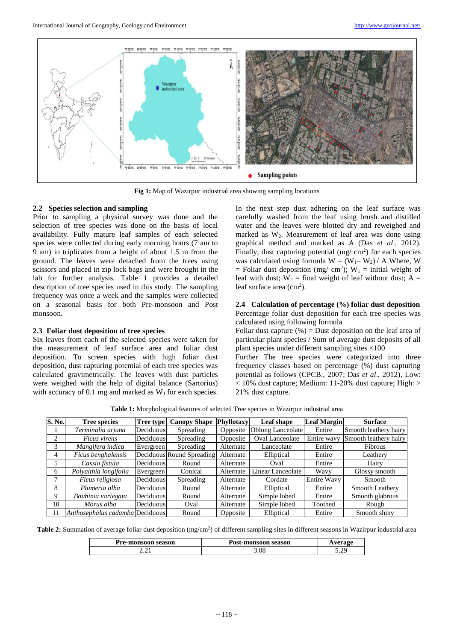

**Fig 1:** Map of Wazirpur industrial area showing sampling locations

#### **2.2 Species selection and sampling**

Prior to sampling a physical survey was done and the selection of tree species was done on the basis of local availability. Fully mature leaf samples of each selected species were collected during early morning hours (7 am to 9 am) in triplicates from a height of about 1.5 m from the ground. The leaves were detached from the trees using scissors and placed in zip lock bags and were brought in the lab for further analysis. Table 1 provides a detailed description of tree species used in this study. The sampling frequency was once a week and the samples were collected on a seasonal basis for both Pre-monsoon and Post monsoon.

## **2.3 Foliar dust deposition of tree species**

Six leaves from each of the selected species were taken for the measurement of leaf surface area and foliar dust deposition. To screen species with high foliar dust deposition, dust capturing potential of each tree species was calculated gravimetrically. The leaves with dust particles were weighed with the help of digital balance (Sartorius) with accuracy of 0.1 mg and marked as  $W_1$  for each species.

In the next step dust adhering on the leaf surface was carefully washed from the leaf using brush and distilled water and the leaves were blotted dry and reweighed and marked as  $W_2$ . Measurement of leaf area was done using graphical method and marked as A (Das *et al*., 2012). Finally, dust capturing potential  $(mg/cm<sup>2</sup>)$  for each species was calculated using formula  $W = (W_1 - W_2) / A$  Where, W = Foliar dust deposition (mg/ cm<sup>2</sup>);  $W_1$  = initial weight of leaf with dust;  $W_2$  = final weight of leaf without dust; A = leaf surface area (cm<sup>2</sup>).

## **2.4 Calculation of percentage (%) foliar dust deposition** Percentage foliar dust deposition for each tree species was calculated using following formula

Foliar dust capture  $(\%)$  = Dust deposition on the leaf area of particular plant species / Sum of average dust deposits of all plant species under different sampling sites ×100

Further The tree species were categorized into three frequency classes based on percentage (%) dust capturing potential as follows (CPCB., 2007; Das *et al*., 2012), Low: < 10% dust capture; Medium: 11-20% dust capture; High: > 21% dust capture.

**Table 1:** Morphological features of selected Tree species in Wazirpur industrial area

| S. No. | <b>Tree species</b>             | <b>Tree type</b> | <b>Canopy Shape</b>       | <b>Phyllotaxy</b> | Leaf shape             | <b>Leaf Margin</b> | <b>Surface</b>         |
|--------|---------------------------------|------------------|---------------------------|-------------------|------------------------|--------------------|------------------------|
|        | Terminalia arjuna               | Deciduous        | Spreading                 | Opposite          | Oblong Lanceolate      | Entire             | Smooth leathery hairy  |
| 2      | <i>Ficus virens</i>             | Deciduous        | Spreading                 | Opposite          | <b>Oval Lanceolate</b> | Entire wavy        | Smooth leathery hairy  |
| 3      | Mangifera indica                | Evergreen        | Spreading                 | Alternate         | Lanceolate             | Entire             | Fibrous                |
| 4      | Ficus benghalensis              |                  | Deciduous Round Spreading | Alternate         | Elliptical             | Entire             | Leathery               |
| 5      | Cassia fistula                  | Deciduous        | Round                     | Alternate         | Oval                   | Entire             | Hairy                  |
| 6      | Polyalthia longifolia           | Evergreen        | Conical                   | Alternate         | Linear Lanceolate      | Wavy               | Glossy smooth          |
|        | Ficus religiosa                 | Deciduous        | Spreading                 | Alternate         | Cordate                | <b>Entire Wavy</b> | Smooth                 |
| 8      | Plumeria alba                   | Deciduous        | Round                     | Alternate         | Elliptical             | Entire             | <b>Smooth Leathery</b> |
| 9      | Bauhinia variegata              | Deciduous        | Round                     | Alternate         | Simple lobed           | Entire             | Smooth glabrous        |
| 10     | Morus alba                      | Deciduous        | Oval                      | Alternate         | Simple lobed           | Toothed            | Rough                  |
| 11     | Anthosephalus cadamba Deciduous |                  | Round                     | Opposite          | Elliptical             | Entire             | Smooth shiny           |

Table 2: Summation of average foliar dust deposition (mg/cm<sup>2</sup>) of different sampling sites in different seasons in Wazirpur industrial area

| Pre-monsoon season | Post-monsoon season | verage      |
|--------------------|---------------------|-------------|
| ----               | 3.08                | ാറ<br>ے ، ب |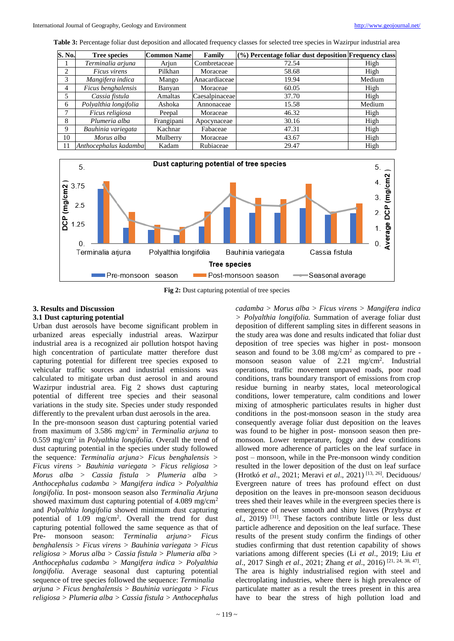**Table 3:** Percentage foliar dust deposition and allocated frequency classes for selected tree species in Wazirpur industrial area

| S. No.         | <b>Tree species</b>   | <b>Common Name</b> | Family         | (%) Percentage foliar dust deposition Frequency class |        |
|----------------|-----------------------|--------------------|----------------|-------------------------------------------------------|--------|
|                | Terminalia arjuna     | Arjun              | Combretaceae   | 72.54                                                 | High   |
| 2              | Ficus virens          | Pilkhan            | Moraceae       | 58.68                                                 | High   |
| 3              | Mangifera indica      | Mango              | Anacardiaceae  | 19.94                                                 | Medium |
| $\overline{4}$ | Ficus benghalensis    | Banyan             | Moraceae       | 60.05                                                 | High   |
| 5              | Cassia fistula        | Amaltas            | Caesalpinaceae | 37.70                                                 | High   |
| 6              | Polyalthia longifolia | Ashoka             | Annonaceae     | 15.58                                                 | Medium |
| 7              | Ficus religiosa       | Peepal             | Moraceae       | 46.32                                                 | High   |
| 8              | Plumeria alba         | Frangipani         | Apocynaceae    | 30.16                                                 | High   |
| 9              | Bauhinia variegata    | Kachnar            | Fabaceae       | 47.31                                                 | High   |
| 10             | Morus alba            | Mulberry           | Moraceae       | 43.67                                                 | High   |
| 11             | Anthocephalus kadamba | Kadam              | Rubiaceae      | 29.47                                                 | High   |



**Fig 2:** Dust capturing potential of tree species

# **3. Results and Discussion**

#### **3.1 Dust capturing potential**

Urban dust aerosols have become significant problem in urbanized areas especially industrial areas. Wazirpur industrial area is a recognized air pollution hotspot having high concentration of particulate matter therefore dust capturing potential for different tree species exposed to vehicular traffic sources and industrial emissions was calculated to mitigate urban dust aerosol in and around Wazirpur industrial area. Fig 2 shows dust capturing potential of different tree species and their seasonal variations in the study site. Species under study responded differently to the prevalent urban dust aerosols in the area.

In the pre-monsoon season dust capturing potential varied from maximum of 3.586 mg/cm<sup>2</sup> in *Terminalia arjuna* to 0.559 mg/cm<sup>2</sup> in *Polyalthia longifolia.* Overall the trend of dust capturing potential in the species under study followed the sequence*: Terminalia arjuna> Ficus benghalensis > Ficus virens > Bauhinia variegata > Ficus religiosa > Morus alba > Cassia fistula > Plumeria alba > Anthocephalus cadamba > Mangifera indica > Polyalthia longifolia.* In post- monsoon season also *Terminalia Arjuna* showed maximum dust capturing potential of 4.089 mg/cm<sup>2</sup> and *Polyalthia longifolia* showed minimum dust capturing potential of  $1.09$  mg/cm<sup>2</sup>. Overall the trend for dust capturing potential followed the same sequence as that of Pre- monsoon season: *Terminalia arjuna> Ficus benghalensis > Ficus virens > Bauhinia variegata > Ficus religiosa > Morus alba > Cassia fistula > Plumeria alba > Anthocephalus cadamba > Mangifera indica > Polyalthia longifolia.* Average seasonal dust capturing potential sequence of tree species followed the sequence: *Terminalia arjuna > Ficus benghalensis > Bauhinia variegata > Ficus religiosa > Plumeria alba > Cassia fistula > Anthocephalus* 

*cadamba > Morus alba > Ficus virens > Mangifera indica > Polyalthia longifolia.* Summation of average foliar dust deposition of different sampling sites in different seasons in the study area was done and results indicated that foliar dust deposition of tree species was higher in post- monsoon season and found to be  $3.08 \text{ mg/cm}^2$  as compared to pre monsoon season value of 2.21 mg/cm<sup>2</sup>. Industrial operations, traffic movement unpaved roads, poor road conditions, trans boundary transport of emissions from crop residue burning in nearby states, local meteorological conditions, lower temperature, calm conditions and lower mixing of atmospheric particulates results in higher dust conditions in the post-monsoon season in the study area consequently average foliar dust deposition on the leaves was found to be higher in post- monsoon season then premonsoon. Lower temperature, foggy and dew conditions allowed more adherence of particles on the leaf surface in post – monsoon, while in the Pre-monsoon windy condition resulted in the lower deposition of the dust on leaf surface (Hrotkó *et al*., 2021; Meravi *et al*., 2021) [13, 26]. Deciduous/ Evergreen nature of trees has profound effect on dust deposition on the leaves in pre-monsoon season deciduous trees shed their leaves while in the evergreen species there is emergence of newer smooth and shiny leaves (Przybysz *et al*., 2019) [31]. These factors contribute little or less dust particle adherence and deposition on the leaf surface. These results of the present study confirm the findings of other studies confirming that dust retention capability of shows variations among different species (Li *et al*., 2019; Liu *et al*., 2017 Singh *et al*., 2021; Zhang *et al*., 2016) [21, 24, 38, 47] . The area is highly industrialised region with steel and electroplating industries, where there is high prevalence of particulate matter as a result the trees present in this area have to bear the stress of high pollution load and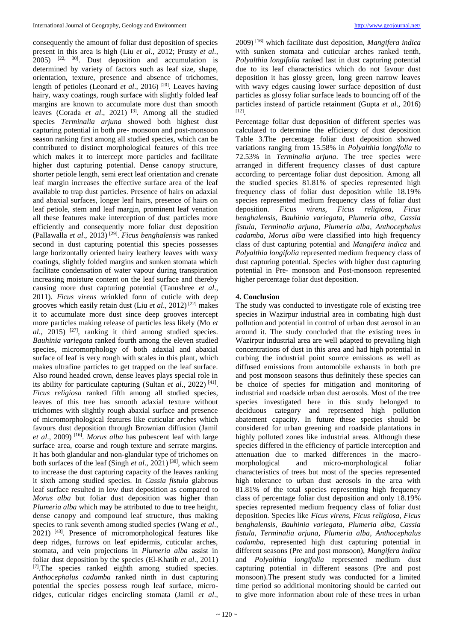consequently the amount of foliar dust deposition of species present in this area is high (Liu *et al*., 2012; Prusty *et al*.,  $2005$ )  $[22, 30]$ . Dust deposition and accumulation is determined by variety of factors such as leaf size, shape, orientation, texture, presence and absence of trichomes, length of petioles (Leonard *et al.*, 2016)<sup>[20]</sup>. Leaves having hairy, waxy coatings, rough surface with slightly folded leaf margins are known to accumulate more dust than smooth leaves (Corada *et al*., 2021) [3] . Among all the studied species *Terminalia arjuna* showed both highest dust capturing potential in both pre- monsoon and post-monsoon season ranking first among all studied species, which can be contributed to distinct morphological features of this tree which makes it to intercept more particles and facilitate higher dust capturing potential. Dense canopy structure, shorter petiole length, semi erect leaf orientation and crenate leaf margin increases the effective surface area of the leaf available to trap dust particles. Presence of hairs on adaxial and abaxial surfaces, longer leaf hairs, presence of hairs on leaf petiole, stem and leaf margin, prominent leaf venation all these features make interception of dust particles more efficiently and consequently more foliar dust deposition (Pallawalla *et al*., 2013) [29] . *Ficus benghalensis* was ranked second in dust capturing potential this species possesses large horizontally oriented hairy leathery leaves with waxy coatings, slightly folded margins and sunken stomata which facilitate condensation of water vapour during transpiration increasing moisture content on the leaf surface and thereby causing more dust capturing potential (Tanushree *et al*., 2011). *Ficus virens* wrinkled form of cuticle with deep grooves which easily retain dust (Liu *et al*., 2012) [22] makes it to accumulate more dust since deep grooves intercept more particles making release of particles less likely (Mo *et*  al., 2015)<sup>[27]</sup>, ranking it third among studied species. *Bauhinia variegata* ranked fourth among the eleven studied species, micromorphology of both adaxial and abaxial surface of leaf is very rough with scales in this plant, which makes ultrafine particles to get trapped on the leaf surface. Also round headed crown, dense leaves plays special role in its ability for particulate capturing (Sultan *et al.*, 2022)<sup>[41]</sup>. *Ficus religiosa* ranked fifth among all studied species, leaves of this tree has smooth adaxial texture without trichomes with slightly rough abaxial surface and presence of micromorphological features like cuticular arches which favours dust deposition through Brownian diffusion (Jamil *et al*., 2009) [16] . *Morus alba* has pubescent leaf with large surface area, coarse and rough texture and serrate margins. It has both glandular and non-glandular type of trichomes on both surfaces of the leaf (Singh *et al*., 2021) [38] , which seem to increase the dust capturing capacity of the leaves ranking it sixth among studied species. In *Cassia fistula* glabrous leaf surface resulted in low dust deposition as compared to *Morus alba* but foliar dust deposition was higher than *Plumeria alba* which may be attributed to due to tree height, dense canopy and compound leaf structure, thus making species to rank seventh among studied species (Wang *et al*., 2021) [43] . Presence of micromorphological features like deep ridges, furrows on leaf epidermis, cuticular arches, stomata, and vein projections in *Plumeria alba* assist in foliar dust deposition by the species (El-Khatib *et al*., 2011) [7].The species ranked eighth among studied species. *Anthocephalus cadamba* ranked ninth in dust capturing potential the species possess rough leaf surface, microridges, cuticular ridges encircling stomata (Jamil *et al*.,

2009) [16] which facilitate dust deposition*, Mangifera indica*  with sunken stomata and cuticular arches ranked tenth, *Polyalthia longifolia* ranked last in dust capturing potential due to its leaf characteristics which do not favour dust deposition it has glossy green, long green narrow leaves with wavy edges causing lower surface deposition of dust particles as glossy foliar surface leads to bouncing off of the particles instead of particle retainment (Gupta *et al*., 2016) [12] .

Percentage foliar dust deposition of different species was calculated to determine the efficiency of dust deposition Table 3.The percentage foliar dust deposition showed variations ranging from 15.58% in *Polyalthia longifolia* to 72.53% in *Terminalia arjuna*. The tree species were arranged in different frequency classes of dust capture according to percentage foliar dust deposition. Among all the studied species 81.81% of species represented high frequency class of foliar dust deposition while 18.19% species represented medium frequency class of foliar dust deposition. *Ficus virens, Ficus religiosa, Ficus benghalensis, Bauhinia variegata, Plumeria alba, Cassia fistula, Terminalia arjuna, Plumeria alba, Anthocephalus cadamba, Morus alba* were classified into high frequency class of dust capturing potential and *Mangifera indica* and *Polyalthia longifolia* represented medium frequency class of dust capturing potential*.* Species with higher dust capturing potential in Pre- monsoon and Post-monsoon represented higher percentage foliar dust deposition.

## **4. Conclusion**

The study was conducted to investigate role of existing tree species in Wazirpur industrial area in combating high dust pollution and potential in control of urban dust aerosol in an around it. The study concluded that the existing trees in Wazirpur industrial area are well adapted to prevailing high concentrations of dust in this area and had high potential in curbing the industrial point source emissions as well as diffused emissions from automobile exhausts in both pre and post monsoon seasons thus definitely these species can be choice of species for mitigation and monitoring of industrial and roadside urban dust aerosols. Most of the tree species investigated here in this study belonged to deciduous category and represented high pollution abatement capacity. In future these species should be considered for urban greening and roadside plantations in highly polluted zones like industrial areas. Although these species differed in the efficiency of particle interception and attenuation due to marked differences in the macromorphological and micro-morphological foliar characteristics of trees but most of the species represented high tolerance to urban dust aerosols in the area with 81.81% of the total species representing high frequency class of percentage foliar dust deposition and only 18.19% species represented medium frequency class of foliar dust deposition. Species like *Ficus virens, Ficus religiosa, Ficus benghalensis, Bauhinia variegata, Plumeria alba, Cassia fistula, Terminalia arjuna, Plumeria alba, Anthocephalus cadamba,* represented high dust capturing potential in different seasons (Pre and post monsoon), *Mangifera indica*  and *Polyalthia longifolia* represented medium dust capturing potential in different seasons (Pre and post monsoon).The present study was conducted for a limited time period so additional monitoring should be carried out to give more information about role of these trees in urban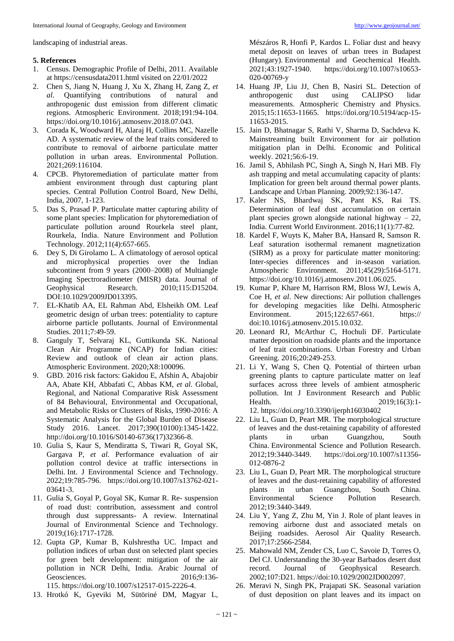landscaping of industrial areas.

# **5. References**

- 1. Census. Demographic Profile of Delhi, 2011. Available at https://censusdata2011.html visited on 22/01/2022
- 2. Chen S, Jiang N, Huang J, Xu X, Zhang H, Zang Z, *et al*. Quantifying contributions of natural and anthropogenic dust emission from different climatic regions. Atmospheric Environment. 2018;191:94-104. https://doi.org/10.1016/j.atmosenv.2018.07.043.
- 3. Corada K, Woodward H, Alaraj H, Collins MC, Nazelle AD. A systematic review of the leaf traits considered to contribute to removal of airborne particulate matter pollution in urban areas. Environmental Pollution. 2021;269:116104.
- 4. CPCB. Phytoremediation of particulate matter from ambient environment through dust capturing plant species. Central Pollution Control Board, New Delhi, India, 2007, 1-123.
- 5. Das S, Prasad P. Particulate matter capturing ability of some plant species: Implication for phytoremediation of particulate pollution around Rourkela steel plant, Rourkela, India. Nature Environment and Pollution Technology. 2012;11(4):657-665.
- 6. Dey S, Di Girolamo L. A climatology of aerosol optical and microphysical properties over the Indian subcontinent from 9 years (2000–2008) of Multiangle Imaging Spectroradiometer (MISR) data. Journal of Geophysical Research. 2010;115:D15204. DOI:10.1029/2009JD013395.
- 7. EL-Khatib AA, EL Rahman Abd, Elsheikh OM. Leaf geometric design of urban trees: potentiality to capture airborne particle pollutants. Journal of Environmental Studies. 2011;7:49-59.
- 8. Ganguly T, Selvaraj KL, Guttikunda SK. National Clean Air Programme (NCAP) for Indian cities: Review and outlook of clean air action plans. Atmospheric Environment. 2020;X8:100096.
- 9. GBD. 2016 risk factors: Gakidou E, Afshin A, Abajobir AA, Abate KH, Abbafati C, Abbas KM, *et al*. Global, Regional, and National Comparative Risk Assessment of 84 Behavioural, Environmental and Occupational, and Metabolic Risks or Clusters of Risks, 1990-2016: A Systematic Analysis for the Global Burden of Disease Study 2016. Lancet. 2017;390(10100):1345-1422. http://doi.org/10.1016/S0140-6736(17)32366-8.
- 10. Gulia S, Kaur S, Mendiratta S, Tiwari R, Goyal SK, Gargava P, *et al*. Performance evaluation of air pollution control device at traffic intersections in Delhi. Int. J Environmental Science and Technology. 2022;19:785-796. https://doi.org/10.1007/s13762-021- 03641-3.
- 11. Gulia S, Goyal P, Goyal SK, Kumar R. Re- suspension of road dust: contribution, assessment and control through dust suppressants- A review. Internatinal Journal of Environmental Science and Technology. 2019;(16):1717-1728.
- 12. Gupta GP, Kumar B, Kulshrestha UC. Impact and pollution indices of urban dust on selected plant species for green belt development: mitigation of the air pollution in NCR Delhi, India. Arabic Journal of Geosciences. 2016;9:136-115. https://doi.org/10.1007/s12517-015-2226-4.
- 13. Hrotkó K, Gyeviki M, Sütöriné DM, Magyar L,

Mészáros R, Honfi P, Kardos L. Foliar dust and heavy metal deposit on leaves of urban trees in Budapest (Hungary). Environmental and Geochemical Health. 2021;43:1927-1940. https://doi.org/10.1007/s10653- 020-00769-y

- 14. Huang JP, Liu JJ, Chen B, Nasiri SL. Detection of anthropogenic dust using CALIPSO lidar measurements. Atmospheric Chemistry and Physics. 2015;15:11653-11665. https://doi.org/10.5194/acp-15- 11653-2015.
- 15. Jain D, Bhatnagar S, Rathi V, Sharma D, Sachdeva K. Mainstreaming built Environment for air pollution mitigation plan in Delhi. Economic and Political weekly. 2021;56:6-19.
- 16. Jamil S, Abhilash PC, Singh A, Singh N, Hari MB. Fly ash trapping and metal accumulating capacity of plants: Implication for green belt around thermal power plants. Landscape and Urban Planning. 2009;92:136-147.
- 17. Kaler NS, Bhardwaj SK, Pant KS, Rai TS. Determination of leaf dust accumulation on certain plant species grown alongside national highway – 22, India. Current World Environment. 2016;11(1):77-82.
- 18. Kardel F, Wuyts K, Maher BA, Hansard R, Samson R. Leaf saturation isothermal remanent magnetization (SIRM) as a proxy for particulate matter monitoring: Inter-species differences and in-season variation. Atmospheric Environment. 2011;45(29):5164-5171. https://doi.org/10.1016/j.atmosenv.2011.06.025.
- 19. Kumar P, Khare M, Harrison RM, Bloss WJ, Lewis A, Coe H, *et al*. New directions: Air pollution challenges for developing megacities like Delhi. Atmospheric Environment. 2015;122:657-661. https:// doi:10.1016/j.atmosenv.2015.10.032.
- 20. Leonard RJ, McArthur C, Hochuli DF. Particulate matter deposition on roadside plants and the importance of leaf trait combinations. Urban Forestry and Urban Greening. 2016;20:249-253.
- 21. Li Y, Wang S, Chen Q. Potential of thirteen urban greening plants to capture particulate matter on leaf surfaces across three levels of ambient atmospheric pollution. Int J Environment Research and Public Health. 2019;16(3):1-12. https://doi.org/10.3390/ijerph16030402
- 22. Liu L, Guan D, Peart MR. The morphological structure of leaves and the dust-retaining capability of afforested plants in urban Guangzhou, South China. Environmental Science and Pollution Research. 2012;19:3440-3449. https://doi.org/10.1007/s11356- 012-0876-2
- 23. Liu L, Guan D, Peart MR. The morphological structure of leaves and the dust-retaining capability of afforested plants in urban Guangzhou, South China. Environmental Science Pollution Research. 2012;19:3440-3449.
- 24. Liu Y, Yang Z, Zhu M, Yin J. Role of plant leaves in removing airborne dust and associated metals on Beijing roadsides. Aerosol Air Quality Research. 2017;17:2566-2584.
- 25. Mahowald NM, Zender CS, Luo C, Savoie D, Torres O, Del CJ. Understanding the 30-year Barbados desert dust record. Journal of Geophysical Research. 2002;107:D21. https://doi:10.1029/2002JD002097.
- 26. Meravi N, Singh PK, Prajapati SK. Seasonal variation of dust deposition on plant leaves and its impact on